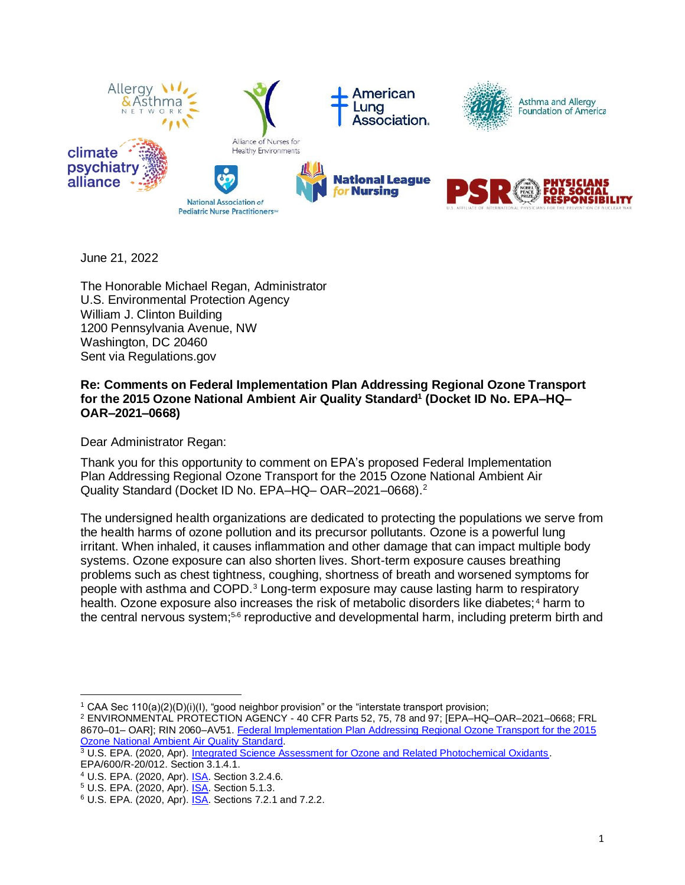

June 21, 2022

The Honorable Michael Regan, Administrator U.S. Environmental Protection Agency William J. Clinton Building 1200 Pennsylvania Avenue, NW Washington, DC 20460 Sent via Regulations.gov

## **Re: Comments on Federal Implementation Plan Addressing Regional Ozone Transport for the 2015 Ozone National Ambient Air Quality Standard<sup>1</sup> (Docket ID No. EPA–HQ– OAR–2021–0668)**

Dear Administrator Regan:

Thank you for this opportunity to comment on EPA's proposed Federal Implementation Plan Addressing Regional Ozone Transport for the 2015 Ozone National Ambient Air Quality Standard (Docket ID No. EPA–HQ– OAR–2021–0668). 2

The undersigned health organizations are dedicated to protecting the populations we serve from the health harms of ozone pollution and its precursor pollutants. Ozone is a powerful lung irritant. When inhaled, it causes inflammation and other damage that can impact multiple body systems. Ozone exposure can also shorten lives. Short-term exposure causes breathing problems such as chest tightness, coughing, shortness of breath and worsened symptoms for people with asthma and COPD.<sup>3</sup> Long-term exposure may cause lasting harm to respiratory health. Ozone exposure also increases the risk of metabolic disorders like diabetes;<sup>4</sup> harm to the central nervous system;<sup>5,6</sup> reproductive and developmental harm, including preterm birth and

<sup>1</sup> CAA Sec 110(a)(2)(D)(i)(I), "good neighbor provision" or the "interstate transport provision;

<sup>2</sup> ENVIRONMENTAL PROTECTION AGENCY - 40 CFR Parts 52, 75, 78 and 97; [EPA–HQ–OAR–2021–0668; FRL 8670–01– OAR]; RIN 2060–AV51. Federal Implementation Plan Addressing Regional Ozone Transport for the 2015 [Ozone National Ambient Air Quality Standard.](https://www.govinfo.gov/content/pkg/FR-2022-04-06/pdf/2022-04551.pdf)

<sup>3</sup> U.S. EPA. (2020, Apr). [Integrated Science Assessment for Ozone and Related Photochemical Oxidants.](https://ordspub.epa.gov/ords/eims/eimscomm.getfile?p_download_id=540022) EPA/600/R-20/012. Section 3.1.4.1.

<sup>4</sup> U.S. EPA. (2020, Apr). [ISA.](https://ordspub.epa.gov/ords/eims/eimscomm.getfile?p_download_id=540022) Section 3.2.4.6.

<sup>&</sup>lt;sup>5</sup> U.S. EPA. (2020, Apr). **ISA.** Section 5.1.3.

<sup>&</sup>lt;sup>6</sup> U.S. EPA. (2020, Apr). **ISA.** Sections 7.2.1 and 7.2.2.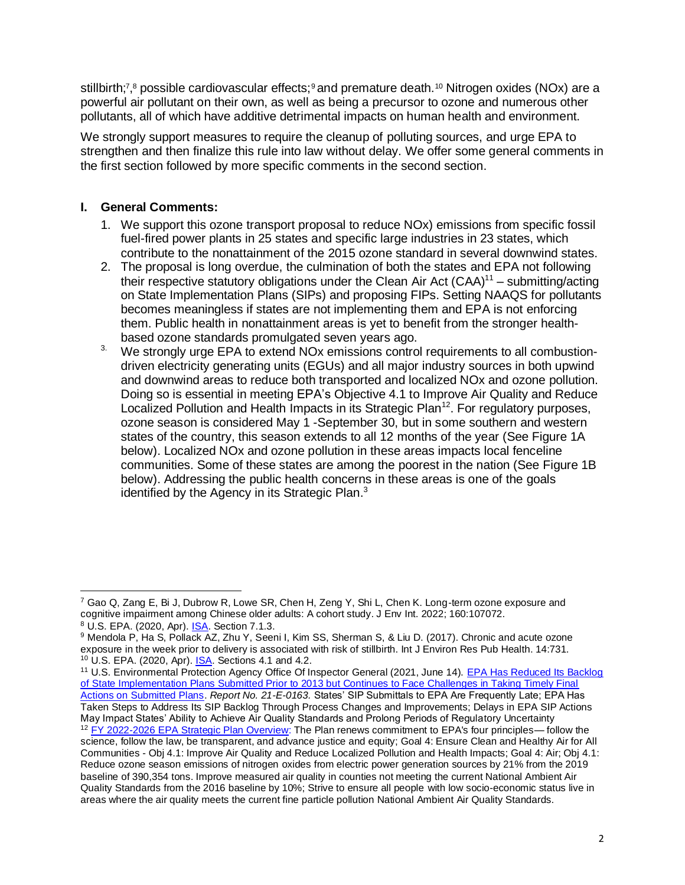stillbirth;<sup>7</sup>,<sup>8</sup> possible cardiovascular effects;<sup>9</sup> and premature death.<sup>10</sup> Nitrogen oxides (NOx) are a powerful air pollutant on their own, as well as being a precursor to ozone and numerous other pollutants, all of which have additive detrimental impacts on human health and environment.

We strongly support measures to require the cleanup of polluting sources, and urge EPA to strengthen and then finalize this rule into law without delay. We offer some general comments in the first section followed by more specific comments in the second section.

# **I. General Comments:**

- 1. We support this ozone transport proposal to reduce NOx) emissions from specific fossil fuel-fired power plants in 25 states and specific large industries in 23 states, which contribute to the nonattainment of the 2015 ozone standard in several downwind states.
- 2. The proposal is long overdue, the culmination of both the states and EPA not following their respective statutory obligations under the Clean Air Act  $(CAA)^{11}$  – submitting/acting on State Implementation Plans (SIPs) and proposing FIPs. Setting NAAQS for pollutants becomes meaningless if states are not implementing them and EPA is not enforcing them. Public health in nonattainment areas is yet to benefit from the stronger healthbased ozone standards promulgated seven years ago.
- <sup>3</sup> We strongly urge EPA to extend NOx emissions control requirements to all combustiondriven electricity generating units (EGUs) and all major industry sources in both upwind and downwind areas to reduce both transported and localized NOx and ozone pollution. Doing so is essential in meeting EPA's Objective 4.1 to Improve Air Quality and Reduce Localized Pollution and Health Impacts in its Strategic Plan<sup>12</sup>. For regulatory purposes, ozone season is considered May 1 -September 30, but in some southern and western states of the country, this season extends to all 12 months of the year (See Figure 1A below). Localized NOx and ozone pollution in these areas impacts local fenceline communities. Some of these states are among the poorest in the nation (See Figure 1B below). Addressing the public health concerns in these areas is one of the goals identified by the Agency in its Strategic Plan. $3$

<sup>11</sup> U.S. Environmental Protection Agency Office Of Inspector General (2021, June 14). [EPA Has Reduced Its Backlog](https://www.epa.gov/sites/default/files/2021-06/documents/_epaoig_20210614-21-e-0163__0.pdf)  [of State Implementation Plans Submitted Prior to 2013 but Continues to Face Challenges in Taking Timely Final](https://www.epa.gov/sites/default/files/2021-06/documents/_epaoig_20210614-21-e-0163__0.pdf)  [Actions on Submitted Plans.](https://www.epa.gov/sites/default/files/2021-06/documents/_epaoig_20210614-21-e-0163__0.pdf) *Report No. 21-E-0163.* States' SIP Submittals to EPA Are Frequently Late; EPA Has Taken Steps to Address Its SIP Backlog Through Process Changes and Improvements; Delays in EPA SIP Actions May Impact States' Ability to Achieve Air Quality Standards and Prolong Periods of Regulatory Uncertainty <sup>12</sup> [FY 2022-2026 EPA Strategic Plan Overview:](https://www.epa.gov/system/files/documents/2022-03/fy-2022-2026-epa-strategic-plan-overview.pdf) The Plan renews commitment to EPA's four principles— follow the science, follow the law, be transparent, and advance justice and equity; Goal 4: Ensure Clean and Healthy Air for All Communities - Obj 4.1: Improve Air Quality and Reduce Localized Pollution and Health Impacts; Goal 4: Air; Obj 4.1: Reduce ozone season emissions of nitrogen oxides from electric power generation sources by 21% from the 2019 baseline of 390,354 tons. Improve measured air quality in counties not meeting the current National Ambient Air Quality Standards from the 2016 baseline by 10%; Strive to ensure all people with low socio-economic status live in areas where the air quality meets the current fine particle pollution National Ambient Air Quality Standards.

 $7$  Gao Q, Zang E, Bi J, Dubrow R, Lowe SR, Chen H, Zeng Y, Shi L, Chen K. Long-term ozone exposure and cognitive impairment among Chinese older adults: A cohort study. J Env Int. 2022; 160:107072. <sup>8</sup> U.S. EPA. (2020, Apr). [ISA.](https://ordspub.epa.gov/ords/eims/eimscomm.getfile?p_download_id=540022) Section 7.1.3.

<sup>9</sup> Mendola P, Ha S, Pollack AZ, Zhu Y, Seeni I, Kim SS, Sherman S, & Liu D. (2017). Chronic and acute ozone exposure in the week prior to delivery is associated with risk of stillbirth. Int J Environ Res Pub Health. 14:731. <sup>10</sup> U.S. EPA. (2020, Apr). **ISA.** Sections 4.1 and 4.2.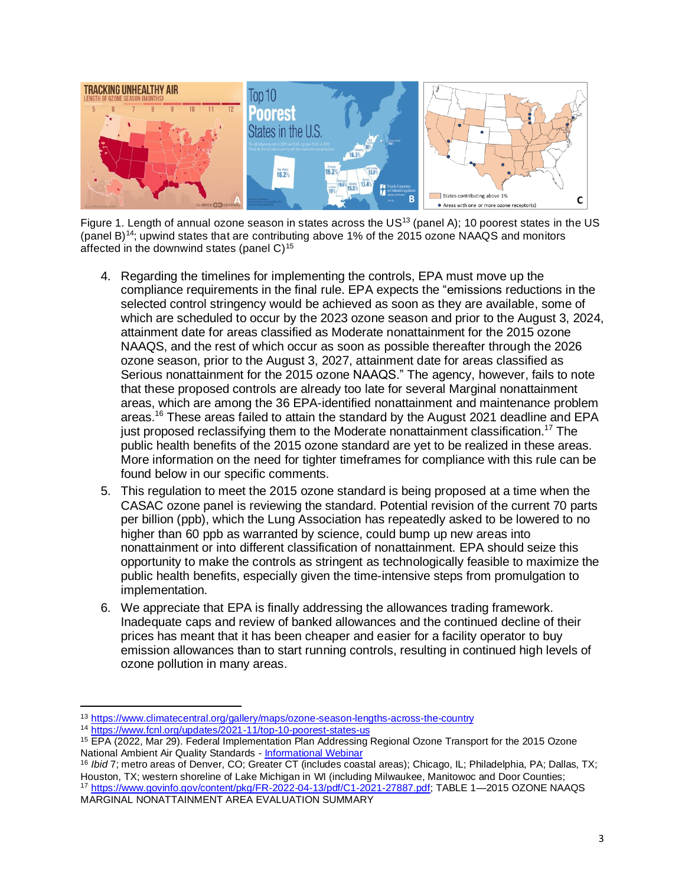

Figure 1. Length of annual ozone season in states across the US<sup>13</sup> (panel A); 10 poorest states in the US (panel B)<sup>14</sup>; upwind states that are contributing above 1% of the 2015 ozone NAAQS and monitors affected in the downwind states (panel  $C$ )<sup>15</sup>

- 4. Regarding the timelines for implementing the controls, EPA must move up the compliance requirements in the final rule. EPA expects the "emissions reductions in the selected control stringency would be achieved as soon as they are available, some of which are scheduled to occur by the 2023 ozone season and prior to the August 3, 2024, attainment date for areas classified as Moderate nonattainment for the 2015 ozone NAAQS, and the rest of which occur as soon as possible thereafter through the 2026 ozone season, prior to the August 3, 2027, attainment date for areas classified as Serious nonattainment for the 2015 ozone NAAQS." The agency, however, fails to note that these proposed controls are already too late for several Marginal nonattainment areas, which are among the 36 EPA-identified nonattainment and maintenance problem areas.<sup>16</sup> These areas failed to attain the standard by the August 2021 deadline and EPA just proposed reclassifying them to the Moderate nonattainment classification.<sup>17</sup> The public health benefits of the 2015 ozone standard are yet to be realized in these areas. More information on the need for tighter timeframes for compliance with this rule can be found below in our specific comments.
- 5. This regulation to meet the 2015 ozone standard is being proposed at a time when the CASAC ozone panel is reviewing the standard. Potential revision of the current 70 parts per billion (ppb), which the Lung Association has repeatedly asked to be lowered to no higher than 60 ppb as warranted by science, could bump up new areas into nonattainment or into different classification of nonattainment. EPA should seize this opportunity to make the controls as stringent as technologically feasible to maximize the public health benefits, especially given the time-intensive steps from promulgation to implementation.
- 6. We appreciate that EPA is finally addressing the allowances trading framework. Inadequate caps and review of banked allowances and the continued decline of their prices has meant that it has been cheaper and easier for a facility operator to buy emission allowances than to start running controls, resulting in continued high levels of ozone pollution in many areas.

<sup>13</sup> <https://www.climatecentral.org/gallery/maps/ozone-season-lengths-across-the-country>

<sup>14</sup> <https://www.fcnl.org/updates/2021-11/top-10-poorest-states-us>

<sup>15</sup> EPA (2022, Mar 29). Federal Implementation Plan Addressing Regional Ozone Transport for the 2015 Ozone National Ambient Air Quality Standards - [Informational Webinar](https://www.epa.gov/system/files/documents/2022-03/2015-ozone-transport-proposed-rule-overview.pdf)

<sup>&</sup>lt;sup>16</sup> *Ibid* 7; metro areas of Denver, CO; Greater CT (includes coastal areas); Chicago, IL; Philadelphia, PA; Dallas, TX; Houston, TX; western shoreline of Lake Michigan in WI (including Milwaukee, Manitowoc and Door Counties; 17 [https://www.govinfo.gov/content/pkg/FR-2022-04-13/pdf/C1-2021-27887.pdf;](https://www.govinfo.gov/content/pkg/FR-2022-04-13/pdf/C1-2021-27887.pdf) TABLE 1-2015 OZONE NAAQS MARGINAL NONATTAINMENT AREA EVALUATION SUMMARY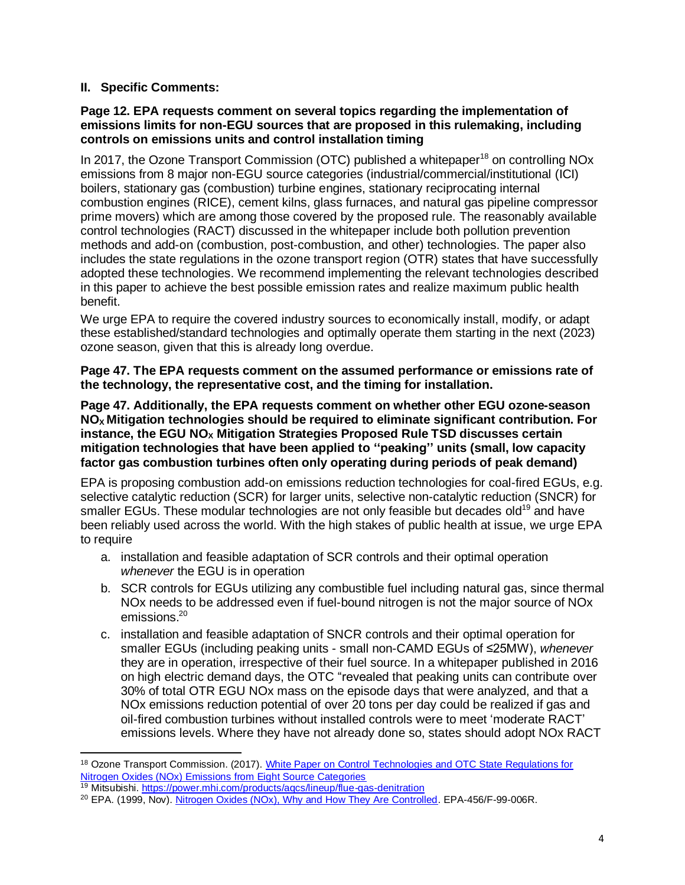# **II. Specific Comments:**

#### **Page 12. EPA requests comment on several topics regarding the implementation of emissions limits for non-EGU sources that are proposed in this rulemaking, including controls on emissions units and control installation timing**

In 2017, the Ozone Transport Commission (OTC) published a whitepaper<sup>18</sup> on controlling NOx emissions from 8 major non-EGU source categories (industrial/commercial/institutional (ICI) boilers, stationary gas (combustion) turbine engines, stationary reciprocating internal combustion engines (RICE), cement kilns, glass furnaces, and natural gas pipeline compressor prime movers) which are among those covered by the proposed rule. The reasonably available control technologies (RACT) discussed in the whitepaper include both pollution prevention methods and add-on (combustion, post-combustion, and other) technologies. The paper also includes the state regulations in the ozone transport region (OTR) states that have successfully adopted these technologies. We recommend implementing the relevant technologies described in this paper to achieve the best possible emission rates and realize maximum public health benefit.

We urge EPA to require the covered industry sources to economically install, modify, or adapt these established/standard technologies and optimally operate them starting in the next (2023) ozone season, given that this is already long overdue.

**Page 47. The EPA requests comment on the assumed performance or emissions rate of the technology, the representative cost, and the timing for installation.**

**Page 47. Additionally, the EPA requests comment on whether other EGU ozone-season NO<sup>X</sup> Mitigation technologies should be required to eliminate significant contribution. For instance, the EGU NO<sup>X</sup> Mitigation Strategies Proposed Rule TSD discusses certain mitigation technologies that have been applied to ''peaking'' units (small, low capacity factor gas combustion turbines often only operating during periods of peak demand)**

EPA is proposing combustion add-on emissions reduction technologies for coal-fired EGUs, e.g. selective catalytic reduction (SCR) for larger units, selective non-catalytic reduction (SNCR) for smaller EGUs. These modular technologies are not only feasible but decades old<sup>19</sup> and have been reliably used across the world. With the high stakes of public health at issue, we urge EPA to require

- a. installation and feasible adaptation of SCR controls and their optimal operation *whenever* the EGU is in operation
- b. SCR controls for EGUs utilizing any combustible fuel including natural gas, since thermal NOx needs to be addressed even if fuel-bound nitrogen is not the major source of NOx emissions. 20
- c. installation and feasible adaptation of SNCR controls and their optimal operation for smaller EGUs (including peaking units - small non-CAMD EGUs of ≤25MW), *whenever* they are in operation, irrespective of their fuel source. In a whitepaper published in 2016 on high electric demand days, the OTC "revealed that peaking units can contribute over 30% of total OTR EGU NOx mass on the episode days that were analyzed, and that a NOx emissions reduction potential of over 20 tons per day could be realized if gas and oil-fired combustion turbines without installed controls were to meet 'moderate RACT' emissions levels. Where they have not already done so, states should adopt NOx RACT

<sup>&</sup>lt;sup>18</sup> Ozone Transport Commission. (2017). White Paper on Control Technologies and OTC State Regulations for [Nitrogen Oxides \(NOx\) Emissions from Eight Source Categories](https://amlung-my.sharepoint.com/personal/shyamala_rajan_lung_org/Documents/NAAQS/Ozone/FIP%20-%20Transport%20rule/White%20Paper%20on%20Control%20Technologies%20and%20OTC%20State%20Regulations%20for%20Nitrogen%20Oxides%20(NOx)%20Emissions%20from%20Eight%20Source%20Categories)

<sup>&</sup>lt;sup>19</sup> Mitsubishi[. https://power.mhi.com/products/aqcs/lineup/flue-gas-denitration](https://power.mhi.com/products/aqcs/lineup/flue-gas-denitration)

<sup>20</sup> EPA. (1999, Nov)[. Nitrogen Oxides \(NOx\), Why and How They Are Controlled.](https://www3.epa.gov/ttncatc1/dir1/fnoxdoc.pdf) EPA-456/F-99-006R.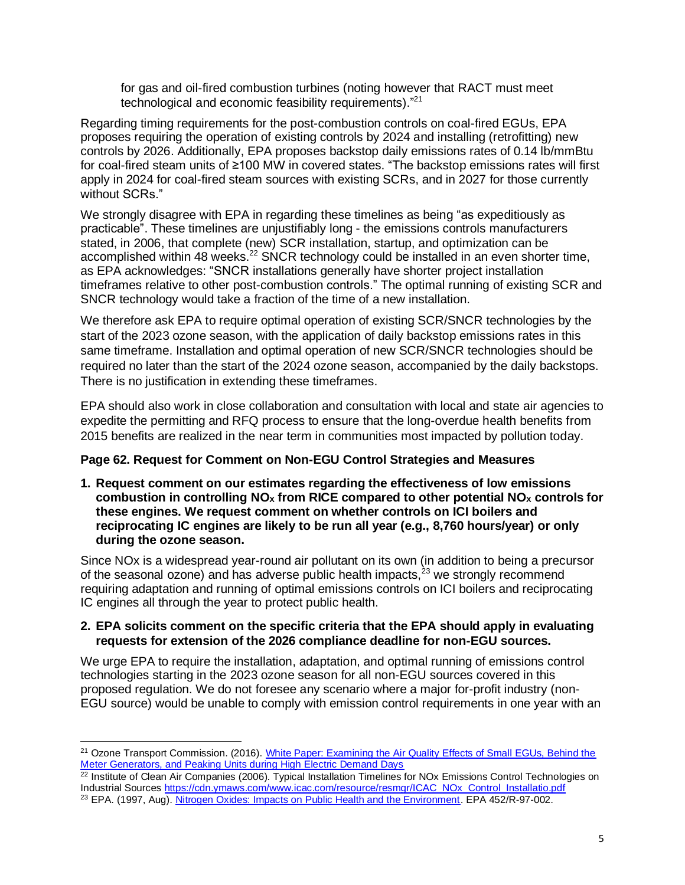for gas and oil-fired combustion turbines (noting however that RACT must meet technological and economic feasibility requirements)."<sup>21</sup>

Regarding timing requirements for the post-combustion controls on coal-fired EGUs, EPA proposes requiring the operation of existing controls by 2024 and installing (retrofitting) new controls by 2026. Additionally, EPA proposes backstop daily emissions rates of 0.14 lb/mmBtu for coal-fired steam units of ≥100 MW in covered states. "The backstop emissions rates will first apply in 2024 for coal-fired steam sources with existing SCRs, and in 2027 for those currently without SCRs."

We strongly disagree with EPA in regarding these timelines as being "as expeditiously as practicable". These timelines are unjustifiably long - the emissions controls manufacturers stated, in 2006, that complete (new) SCR installation, startup, and optimization can be accomplished within 48 weeks.<sup>22</sup> SNCR technology could be installed in an even shorter time, as EPA acknowledges: "SNCR installations generally have shorter project installation timeframes relative to other post-combustion controls." The optimal running of existing SCR and SNCR technology would take a fraction of the time of a new installation.

We therefore ask EPA to require optimal operation of existing SCR/SNCR technologies by the start of the 2023 ozone season, with the application of daily backstop emissions rates in this same timeframe. Installation and optimal operation of new SCR/SNCR technologies should be required no later than the start of the 2024 ozone season, accompanied by the daily backstops. There is no justification in extending these timeframes.

EPA should also work in close collaboration and consultation with local and state air agencies to expedite the permitting and RFQ process to ensure that the long-overdue health benefits from 2015 benefits are realized in the near term in communities most impacted by pollution today.

## **Page 62. Request for Comment on Non-EGU Control Strategies and Measures**

**1. Request comment on our estimates regarding the effectiveness of low emissions combustion in controlling NO<sup>X</sup> from RICE compared to other potential NO<sup>X</sup> controls for these engines. We request comment on whether controls on ICI boilers and reciprocating IC engines are likely to be run all year (e.g., 8,760 hours/year) or only during the ozone season.**

Since NOx is a widespread year-round air pollutant on its own (in addition to being a precursor of the seasonal ozone) and has adverse public health impacts, $^{23}$  we strongly recommend requiring adaptation and running of optimal emissions controls on ICI boilers and reciprocating IC engines all through the year to protect public health.

## **2. EPA solicits comment on the specific criteria that the EPA should apply in evaluating requests for extension of the 2026 compliance deadline for non-EGU sources.**

We urge EPA to require the installation, adaptation, and optimal running of emissions control technologies starting in the 2023 ozone season for all non-EGU sources covered in this proposed regulation. We do not foresee any scenario where a major for-profit industry (non-EGU source) would be unable to comply with emission control requirements in one year with an

<sup>&</sup>lt;sup>21</sup> Ozone Transport Commission. (2016). White Paper: Examining the Air Quality Effects of Small EGUs, Behind the [Meter Generators, and Peaking Units during High Electric Demand Days](https://otcair.org/upload/Documents/Reports/HEDD_Workgroup_White_Paper_Final_2016-11-10.pdf)

 $22$  Institute of Clean Air Companies (2006). Typical Installation Timelines for NOx Emissions Control Technologies on Industrial Source[s https://cdn.ymaws.com/www.icac.com/resource/resmgr/ICAC\\_NOx\\_Control\\_Installatio.pdf](https://cdn.ymaws.com/www.icac.com/resource/resmgr/ICAC_NOx_Control_Installatio.pdf) <sup>23</sup> EPA. (1997, Aug)[. Nitrogen Oxides: Impacts on Public Health and the Environment.](https://nepis.epa.gov/Exe/ZyPDF.cgi/2000DM8Q.PDF?Dockey=2000DM8Q.PDF) EPA 452/R-97-002.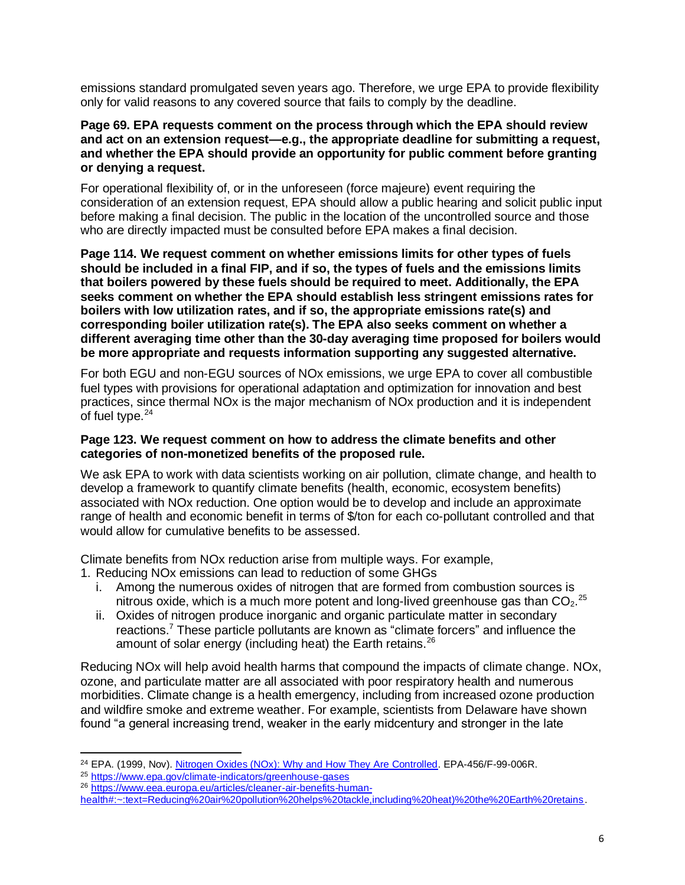emissions standard promulgated seven years ago. Therefore, we urge EPA to provide flexibility only for valid reasons to any covered source that fails to comply by the deadline.

#### **Page 69. EPA requests comment on the process through which the EPA should review and act on an extension request—e.g., the appropriate deadline for submitting a request, and whether the EPA should provide an opportunity for public comment before granting or denying a request.**

For operational flexibility of, or in the unforeseen (force majeure) event requiring the consideration of an extension request, EPA should allow a public hearing and solicit public input before making a final decision. The public in the location of the uncontrolled source and those who are directly impacted must be consulted before EPA makes a final decision.

**Page 114. We request comment on whether emissions limits for other types of fuels should be included in a final FIP, and if so, the types of fuels and the emissions limits that boilers powered by these fuels should be required to meet. Additionally, the EPA seeks comment on whether the EPA should establish less stringent emissions rates for boilers with low utilization rates, and if so, the appropriate emissions rate(s) and corresponding boiler utilization rate(s). The EPA also seeks comment on whether a different averaging time other than the 30-day averaging time proposed for boilers would be more appropriate and requests information supporting any suggested alternative.**

For both EGU and non-EGU sources of NOx emissions, we urge EPA to cover all combustible fuel types with provisions for operational adaptation and optimization for innovation and best practices, since thermal NOx is the major mechanism of NOx production and it is independent of fuel type.<sup>24</sup>

## **Page 123. We request comment on how to address the climate benefits and other categories of non-monetized benefits of the proposed rule.**

We ask EPA to work with data scientists working on air pollution, climate change, and health to develop a framework to quantify climate benefits (health, economic, ecosystem benefits) associated with NOx reduction. One option would be to develop and include an approximate range of health and economic benefit in terms of \$/ton for each co-pollutant controlled and that would allow for cumulative benefits to be assessed.

Climate benefits from NOx reduction arise from multiple ways. For example,

- 1. Reducing NOx emissions can lead to reduction of some GHGs
	- i. Among the numerous oxides of nitrogen that are formed from combustion sources is nitrous oxide, which is a much more potent and long-lived greenhouse gas than  $CO<sub>2</sub>$ .<sup>25</sup>
	- ii. Oxides of nitrogen produce inorganic and organic particulate matter in secondary reactions.<sup>7</sup> These particle pollutants are known as "climate forcers" and influence the amount of solar energy (including heat) the Earth retains. $26$

Reducing NOx will help avoid health harms that compound the impacts of climate change. NOx, ozone, and particulate matter are all associated with poor respiratory health and numerous morbidities. Climate change is a health emergency, including from increased ozone production and wildfire smoke and extreme weather. For example, scientists from Delaware have shown found "a general increasing trend, weaker in the early midcentury and stronger in the late

<sup>&</sup>lt;sup>24</sup> EPA. (1999, Nov). Nitrogen Oxides (NOx): [Why and How They Are Controlled.](https://www3.epa.gov/ttncatc1/dir1/fnoxdoc.pdf) EPA-456/F-99-006R.

<sup>25</sup> <https://www.epa.gov/climate-indicators/greenhouse-gases>

<sup>26</sup> [https://www.eea.europa.eu/articles/cleaner-air-benefits-human-](https://www.eea.europa.eu/articles/cleaner-air-benefits-human-health#:~:text=Reducing%20air%20pollution%20helps%20tackle,including%20heat)%20the%20Earth%20retains)

[health#:~:text=Reducing%20air%20pollution%20helps%20tackle,including%20heat\)%20the%20Earth%20retains.](https://www.eea.europa.eu/articles/cleaner-air-benefits-human-health#:~:text=Reducing%20air%20pollution%20helps%20tackle,including%20heat)%20the%20Earth%20retains)